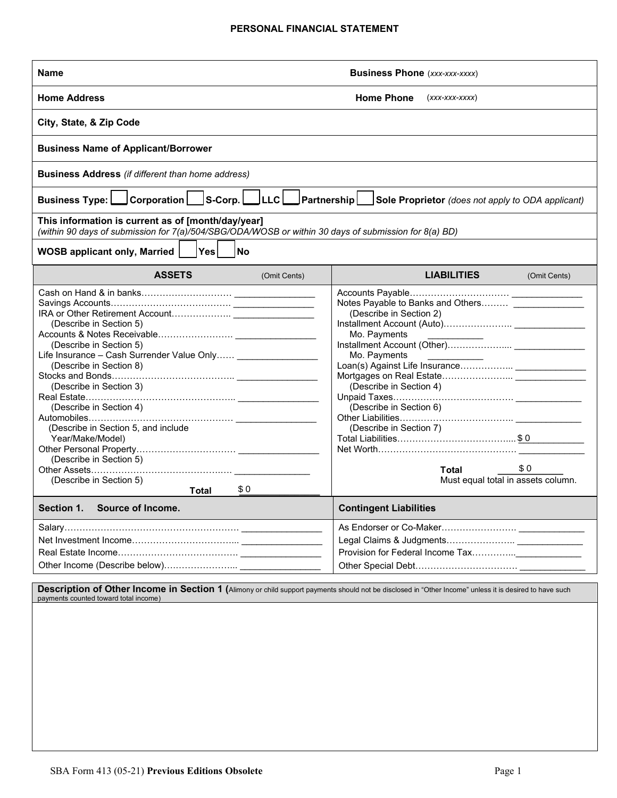#### **PERSONAL FINANCIAL STATEMENT**

| <b>Business Phone (xxx-xxx-xxxx)</b><br>Name                                                                                                                                                                                                                                                                       |                                                                                                                                                                                                                                                      |  |  |  |  |  |  |  |
|--------------------------------------------------------------------------------------------------------------------------------------------------------------------------------------------------------------------------------------------------------------------------------------------------------------------|------------------------------------------------------------------------------------------------------------------------------------------------------------------------------------------------------------------------------------------------------|--|--|--|--|--|--|--|
| <b>Home Address</b>                                                                                                                                                                                                                                                                                                | <b>Home Phone</b><br>$(xxx$ -xxx-xxxx)                                                                                                                                                                                                               |  |  |  |  |  |  |  |
| City, State, & Zip Code                                                                                                                                                                                                                                                                                            |                                                                                                                                                                                                                                                      |  |  |  |  |  |  |  |
| <b>Business Name of Applicant/Borrower</b>                                                                                                                                                                                                                                                                         |                                                                                                                                                                                                                                                      |  |  |  |  |  |  |  |
| <b>Business Address</b> (if different than home address)                                                                                                                                                                                                                                                           |                                                                                                                                                                                                                                                      |  |  |  |  |  |  |  |
| S-Corp.  __ LLC  __ Partnership  <br>Corporation<br><b>Business Type:</b><br>Sole Proprietor (does not apply to ODA applicant)                                                                                                                                                                                     |                                                                                                                                                                                                                                                      |  |  |  |  |  |  |  |
| This information is current as of [month/day/year]<br>(within 90 days of submission for 7(a)/504/SBG/ODA/WOSB or within 30 days of submission for 8(a) BD)                                                                                                                                                         |                                                                                                                                                                                                                                                      |  |  |  |  |  |  |  |
| ∣Yes∣<br><b>WOSB applicant only, Married</b>  <br><b>No</b>                                                                                                                                                                                                                                                        |                                                                                                                                                                                                                                                      |  |  |  |  |  |  |  |
| <b>ASSETS</b><br>(Omit Cents)                                                                                                                                                                                                                                                                                      | <b>LIABILITIES</b><br>(Omit Cents)                                                                                                                                                                                                                   |  |  |  |  |  |  |  |
| (Describe in Section 5)<br>(Describe in Section 5)<br>Life Insurance - Cash Surrender Value Only<br>(Describe in Section 8)<br>(Describe in Section 3)<br>(Describe in Section 4)<br>(Describe in Section 5, and include<br>Year/Make/Model)<br>(Describe in Section 5)<br>(Describe in Section 5)<br>\$0<br>Total | Notes Payable to Banks and Others ________________<br>(Describe in Section 2)<br>Mo. Payments<br>Mo. Payments<br>(Describe in Section 4)<br>(Describe in Section 6)<br>(Describe in Section 7)<br>\$0<br>Total<br>Must equal total in assets column. |  |  |  |  |  |  |  |
| Section 1.<br>Source of Income.                                                                                                                                                                                                                                                                                    | <b>Contingent Liabilities</b>                                                                                                                                                                                                                        |  |  |  |  |  |  |  |
|                                                                                                                                                                                                                                                                                                                    |                                                                                                                                                                                                                                                      |  |  |  |  |  |  |  |

**Description of Other Income in Section 1 (**Alimony or child support payments should not be disclosed in "Other Income" unless it is desired to have such<br>payments counted toward total income)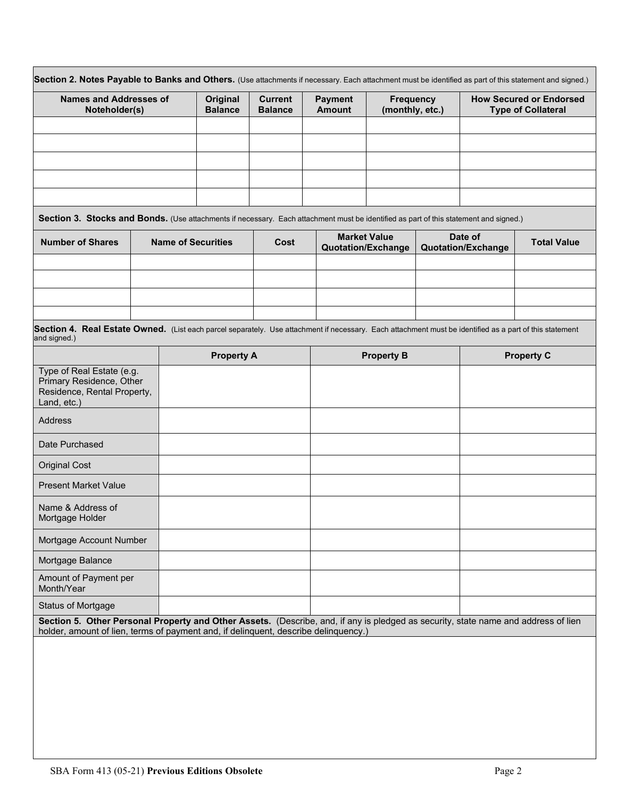| <b>Names and Addresses of</b><br>Noteholder(s)                                                                                                                                                                            |  | Original<br><b>Balance</b> |                   | <b>Current</b><br><b>Balance</b> | <b>Payment</b><br><b>Amount</b> | <b>Frequency</b><br>(monthly, etc.)              |  | <b>How Secured or Endorsed</b><br><b>Type of Collateral</b> |  |
|---------------------------------------------------------------------------------------------------------------------------------------------------------------------------------------------------------------------------|--|----------------------------|-------------------|----------------------------------|---------------------------------|--------------------------------------------------|--|-------------------------------------------------------------|--|
|                                                                                                                                                                                                                           |  |                            |                   |                                  |                                 |                                                  |  |                                                             |  |
|                                                                                                                                                                                                                           |  |                            |                   |                                  |                                 |                                                  |  |                                                             |  |
| Section 3. Stocks and Bonds. (Use attachments if necessary. Each attachment must be identified as part of this statement and signed.)                                                                                     |  |                            |                   |                                  |                                 |                                                  |  |                                                             |  |
| <b>Number of Shares</b>                                                                                                                                                                                                   |  | <b>Name of Securities</b>  |                   | Cost                             |                                 | <b>Market Value</b><br><b>Quotation/Exchange</b> |  | Date of<br><b>Total Value</b><br><b>Quotation/Exchange</b>  |  |
|                                                                                                                                                                                                                           |  |                            |                   |                                  |                                 |                                                  |  |                                                             |  |
|                                                                                                                                                                                                                           |  |                            |                   |                                  |                                 |                                                  |  |                                                             |  |
| Section 4. Real Estate Owned. (List each parcel separately. Use attachment if necessary. Each attachment must be identified as a part of this statement<br>and signed.)                                                   |  |                            |                   |                                  |                                 |                                                  |  |                                                             |  |
|                                                                                                                                                                                                                           |  |                            | <b>Property A</b> |                                  | <b>Property B</b>               |                                                  |  | <b>Property C</b>                                           |  |
| Type of Real Estate (e.g.<br>Primary Residence, Other<br>Residence, Rental Property,<br>Land, etc.)                                                                                                                       |  |                            |                   |                                  |                                 |                                                  |  |                                                             |  |
| <b>Address</b>                                                                                                                                                                                                            |  |                            |                   |                                  |                                 |                                                  |  |                                                             |  |
| Date Purchased                                                                                                                                                                                                            |  |                            |                   |                                  |                                 |                                                  |  |                                                             |  |
| <b>Original Cost</b>                                                                                                                                                                                                      |  |                            |                   |                                  |                                 |                                                  |  |                                                             |  |
| <b>Present Market Value</b>                                                                                                                                                                                               |  |                            |                   |                                  |                                 |                                                  |  |                                                             |  |
| Name & Address of<br>Mortgage Holder                                                                                                                                                                                      |  |                            |                   |                                  |                                 |                                                  |  |                                                             |  |
| Mortgage Account Number                                                                                                                                                                                                   |  |                            |                   |                                  |                                 |                                                  |  |                                                             |  |
| Mortgage Balance                                                                                                                                                                                                          |  |                            |                   |                                  |                                 |                                                  |  |                                                             |  |
| Amount of Payment per<br>Month/Year                                                                                                                                                                                       |  |                            |                   |                                  |                                 |                                                  |  |                                                             |  |
| <b>Status of Mortgage</b>                                                                                                                                                                                                 |  |                            |                   |                                  |                                 |                                                  |  |                                                             |  |
| Section 5. Other Personal Property and Other Assets. (Describe, and, if any is pledged as security, state name and address of lien<br>holder, amount of lien, terms of payment and, if delinquent, describe delinquency.) |  |                            |                   |                                  |                                 |                                                  |  |                                                             |  |
|                                                                                                                                                                                                                           |  |                            |                   |                                  |                                 |                                                  |  |                                                             |  |
|                                                                                                                                                                                                                           |  |                            |                   |                                  |                                 |                                                  |  |                                                             |  |
|                                                                                                                                                                                                                           |  |                            |                   |                                  |                                 |                                                  |  |                                                             |  |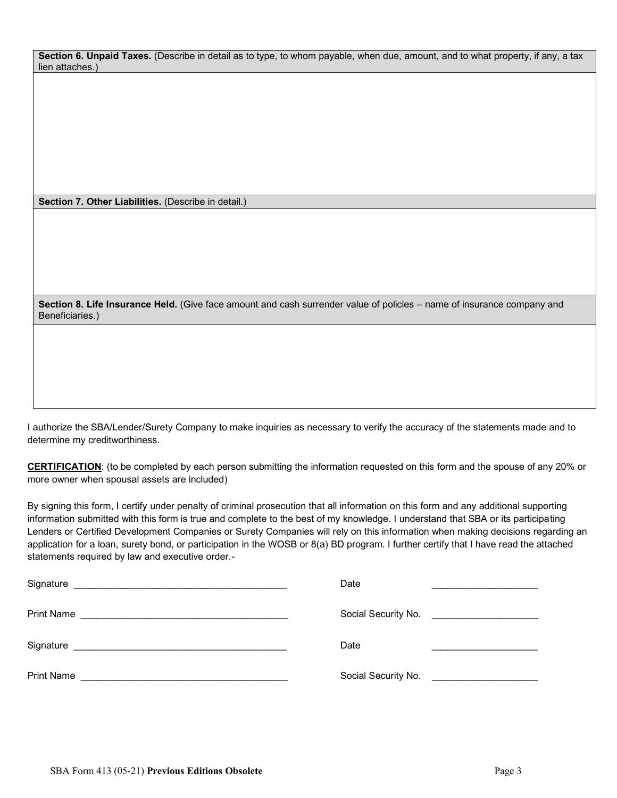**Section 6. Unpaid Taxes.** (Describe in detail as to type, to whom payable, when due, amount, and to what property, if any, a tax lien attaches.)

 **Section 7. Other Liabilities.** (Describe in detail.)

 **Section 8. Life Insurance Held.** (Give face amount and cash surrender value of policies – name of insurance company and Beneficiaries.)

 I authorize the SBA/Lender/Surety Company to make inquiries as necessary to verify the accuracy of the statements made and to determine my creditworthiness.

 **CERTIFICATION**: (to be completed by each person submitting the information requested on this form and the spouse of any 20% or more owner when spousal assets are included)

 By signing this form, I certify under penalty of criminal prosecution that all information on this form and any additional supporting information submitted with this form is true and complete to the best of my knowledge. I understand that SBA or its participating Lenders or Certified Development Companies or Surety Companies will rely on this information when making decisions regarding an application for a loan, surety bond, or participation in the WOSB or 8(a) BD program. I further certify that I have read the attached statements required by law and executive order.-

| Signature                                                                                                                                                                                                                                  | Date                                                                                                                                         |
|--------------------------------------------------------------------------------------------------------------------------------------------------------------------------------------------------------------------------------------------|----------------------------------------------------------------------------------------------------------------------------------------------|
| <b>Print Name</b>                                                                                                                                                                                                                          | Social Security No. <u>_______________________</u>                                                                                           |
| Signature<br>the control of the control of the control of the control of the control of the control of the control of the control of the control of the control of the control of the control of the control of the control of the control | Date                                                                                                                                         |
| <b>Print Name</b>                                                                                                                                                                                                                          | Social Security No.<br><u> 1980 - Jan Barnett, fransk konge og det for de forskellige og det for de forskellige og det forskellige og de</u> |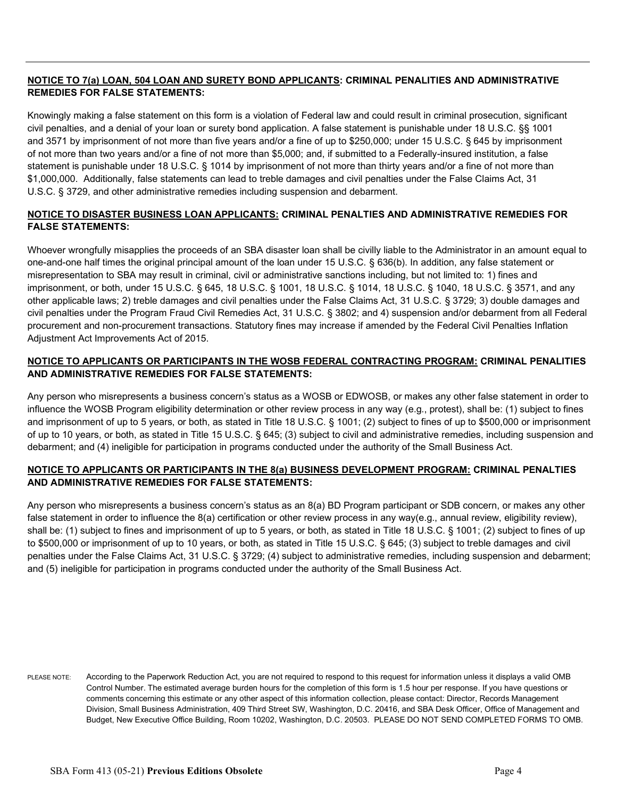# **NOTICE TO 7(a) LOAN, 504 LOAN AND SURETY BOND APPLICANTS: CRIMINAL PENALITIES AND ADMINISTRATIVE REMEDIES FOR FALSE STATEMENTS:**

 Knowingly making a false statement on this form is a violation of Federal law and could result in criminal prosecution, significant civil penalties, and a denial of your loan or surety bond application. A false statement is punishable under 18 U.S.C. §§ 1001 and 3571 by imprisonment of not more than five years and/or a fine of up to \$250,000; under 15 U.S.C. § 645 by imprisonment of not more than two years and/or a fine of not more than \$5,000; and, if submitted to a Federally-insured institution, a false statement is punishable under 18 U.S.C. § 1014 by imprisonment of not more than thirty years and/or a fine of not more than \$1,000,000. Additionally, false statements can lead to treble damages and civil penalties under the False Claims Act, 31 U.S.C. § 3729, and other administrative remedies including suspension and debarment.

### **NOTICE TO DISASTER BUSINESS LOAN APPLICANTS: CRIMINAL PENALTIES AND ADMINISTRATIVE REMEDIES FOR FALSE STATEMENTS:**

 Whoever wrongfully misapplies the proceeds of an SBA disaster loan shall be civilly liable to the Administrator in an amount equal to one-and-one half times the original principal amount of the loan under 15 U.S.C. § 636(b). In addition, any false statement or misrepresentation to SBA may result in criminal, civil or administrative sanctions including, but not limited to: 1) fines and imprisonment, or both, under 15 U.S.C. § 645, 18 U.S.C. § 1001, 18 U.S.C. § 1014, 18 U.S.C. § 1040, 18 U.S.C. § 3571, and any other applicable laws; 2) treble damages and civil penalties under the False Claims Act, 31 U.S.C. § 3729; 3) double damages and civil penalties under the Program Fraud Civil Remedies Act, 31 U.S.C. § 3802; and 4) suspension and/or debarment from all Federal procurement and non-procurement transactions. Statutory fines may increase if amended by the Federal Civil Penalties Inflation Adjustment Act Improvements Act of 2015.

## **NOTICE TO APPLICANTS OR PARTICIPANTS IN THE WOSB FEDERAL CONTRACTING PROGRAM: CRIMINAL PENALITIES AND ADMINISTRATIVE REMEDIES FOR FALSE STATEMENTS:**

 Any person who misrepresents a business concern's status as a WOSB or EDWOSB, or makes any other false statement in order to influence the WOSB Program eligibility determination or other review process in any way (e.g., protest), shall be: (1) subject to fines and imprisonment of up to 5 years, or both, as stated in Title 18 U.S.C. § 1001; (2) subject to fines of up to \$500,000 or imprisonment of up to 10 years, or both, as stated in Title 15 U.S.C. § 645; (3) subject to civil and administrative remedies, including suspension and debarment; and (4) ineligible for participation in programs conducted under the authority of the Small Business Act.

# **NOTICE TO APPLICANTS OR PARTICIPANTS IN THE 8(a) BUSINESS DEVELOPMENT PROGRAM: CRIMINAL PENALTIES AND ADMINISTRATIVE REMEDIES FOR FALSE STATEMENTS:**

 Any person who misrepresents a business concern's status as an 8(a) BD Program participant or SDB concern, or makes any other false statement in order to influence the 8(a) certification or other review process in any way(e.g., annual review, eligibility review), shall be: (1) subject to fines and imprisonment of up to 5 years, or both, as stated in Title 18 U.S.C. § 1001; (2) subject to fines of up to \$500,000 or imprisonment of up to 10 years, or both, as stated in Title 15 U.S.C. § 645; (3) subject to treble damages and civil penalties under the False Claims Act, 31 U.S.C. § 3729; (4) subject to administrative remedies, including suspension and debarment; and (5) ineligible for participation in programs conducted under the authority of the Small Business Act.

 PLEASE NOTE: According to the Paperwork Reduction Act, you are not required to respond to this request for information unless it displays a valid OMB Control Number. The estimated average burden hours for the completion of this form is 1.5 hour per response. If you have questions or comments concerning this estimate or any other aspect of this information collection, please contact: Director, Records Management Division, Small Business Administration, 409 Third Street SW, Washington, D.C. 20416, and SBA Desk Officer, Office of Management and Budget, New Executive Office Building, Room 10202, Washington, D.C. 20503. PLEASE DO NOT SEND COMPLETED FORMS TO OMB.